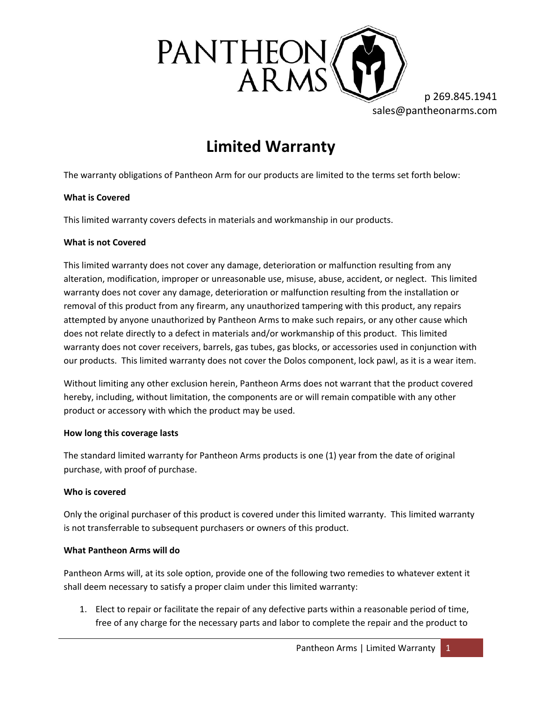

p 269.845.1941 sales@pantheonarms.com

# **Limited Warranty**

The warranty obligations of Pantheon Arm for our products are limited to the terms set forth below:

# **What is Covered**

This limited warranty covers defects in materials and workmanship in our products.

## **What is not Covered**

This limited warranty does not cover any damage, deterioration or malfunction resulting from any alteration, modification, improper or unreasonable use, misuse, abuse, accident, or neglect. This limited warranty does not cover any damage, deterioration or malfunction resulting from the installation or removal of this product from any firearm, any unauthorized tampering with this product, any repairs attempted by anyone unauthorized by Pantheon Arms to make such repairs, or any other cause which does not relate directly to a defect in materials and/or workmanship of this product. This limited warranty does not cover receivers, barrels, gas tubes, gas blocks, or accessories used in conjunction with our products. This limited warranty does not cover the Dolos component, lock pawl, as it is a wear item.

Without limiting any other exclusion herein, Pantheon Arms does not warrant that the product covered hereby, including, without limitation, the components are or will remain compatible with any other product or accessory with which the product may be used.

## **How long this coverage lasts**

The standard limited warranty for Pantheon Arms products is one (1) year from the date of original purchase, with proof of purchase.

# **Who is covered**

Only the original purchaser of this product is covered under this limited warranty. This limited warranty is not transferrable to subsequent purchasers or owners of this product.

# **What Pantheon Arms will do**

Pantheon Arms will, at its sole option, provide one of the following two remedies to whatever extent it shall deem necessary to satisfy a proper claim under this limited warranty:

1. Elect to repair or facilitate the repair of any defective parts within a reasonable period of time, free of any charge for the necessary parts and labor to complete the repair and the product to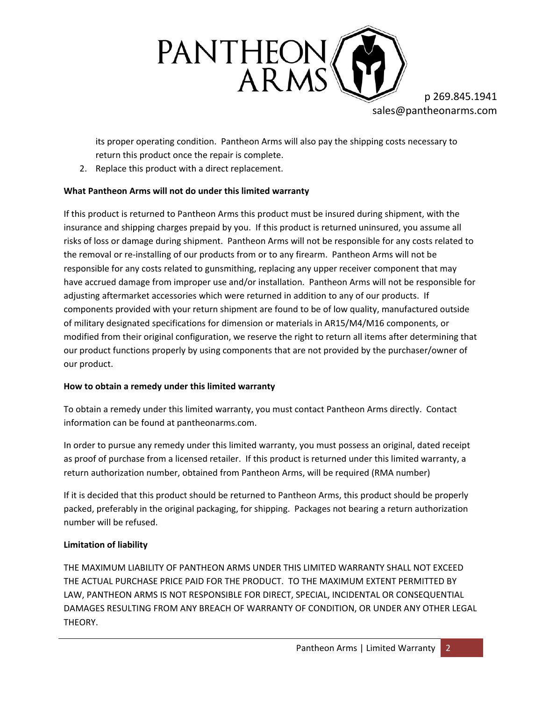

p 269.845.1941 sales@pantheonarms.com

its proper operating condition. Pantheon Arms will also pay the shipping costs necessary to return this product once the repair is complete.

2. Replace this product with a direct replacement.

# **What Pantheon Arms will not do under this limited warranty**

If this product is returned to Pantheon Arms this product must be insured during shipment, with the insurance and shipping charges prepaid by you. If this product is returned uninsured, you assume all risks of loss or damage during shipment. Pantheon Arms will not be responsible for any costs related to the removal or re-installing of our products from or to any firearm. Pantheon Arms will not be responsible for any costs related to gunsmithing, replacing any upper receiver component that may have accrued damage from improper use and/or installation. Pantheon Arms will not be responsible for adjusting aftermarket accessories which were returned in addition to any of our products. If components provided with your return shipment are found to be of low quality, manufactured outside of military designated specifications for dimension or materials in AR15/M4/M16 components, or modified from their original configuration, we reserve the right to return all items after determining that our product functions properly by using components that are not provided by the purchaser/owner of our product.

# **How to obtain a remedy under this limited warranty**

To obtain a remedy under this limited warranty, you must contact Pantheon Arms directly. Contact information can be found at pantheonarms.com.

In order to pursue any remedy under this limited warranty, you must possess an original, dated receipt as proof of purchase from a licensed retailer. If this product is returned under this limited warranty, a return authorization number, obtained from Pantheon Arms, will be required (RMA number)

If it is decided that this product should be returned to Pantheon Arms, this product should be properly packed, preferably in the original packaging, for shipping. Packages not bearing a return authorization number will be refused.

# **Limitation of liability**

THE MAXIMUM LIABILITY OF PANTHEON ARMS UNDER THIS LIMITED WARRANTY SHALL NOT EXCEED THE ACTUAL PURCHASE PRICE PAID FOR THE PRODUCT. TO THE MAXIMUM EXTENT PERMITTED BY LAW, PANTHEON ARMS IS NOT RESPONSIBLE FOR DIRECT, SPECIAL, INCIDENTAL OR CONSEQUENTIAL DAMAGES RESULTING FROM ANY BREACH OF WARRANTY OF CONDITION, OR UNDER ANY OTHER LEGAL THEORY.